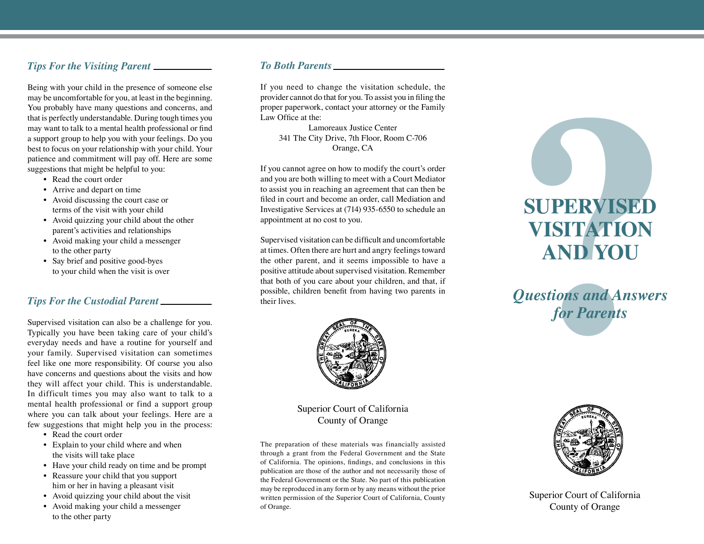### *Tips For the Visiting Parent*

Being with your child in the presence of someone else may be uncomfortable for you, at least in the beginning. You probably have many questions and concerns, and that is perfectly understandable. During tough times you may want to talk to a mental health professional or find a support group to help you with your feelings. Do you best to focus on your relationship with your child. Your patience and commitment will pay off. Here are some suggestions that might be helpful to you:

- Read the court order
- Arrive and depart on time
- Avoid discussing the court case or terms of the visit with your child
- Avoid quizzing your child about the other parent's activities and relationships
- Avoid making your child a messenger to the other party
- Say brief and positive good-byes to your child when the visit is over

#### *Tips For the Custodial Parent*

Supervised visitation can also be a challenge for you. Typically you have been taking care of your child's everyday needs and have a routine for yourself and your family. Supervised visitation can sometimes feel like one more responsibility. Of course you also have concerns and questions about the visits and how they will affect your child. This is understandable. In difficult times you may also want to talk to a mental health professional or find a support group where you can talk about your feelings. Here are a few suggestions that might help you in the process:

- Read the court order
- Explain to your child where and when the visits will take place
- Have your child ready on time and be prompt
- Reassure your child that you support him or her in having a pleasant visit
- Avoid quizzing your child about the visit
- Avoid making your child a messenger to the other party

### *To Both Parents*

If you need to change the visitation schedule, the provider cannot do that for you. To assist you in filing the proper paperwork, contact your attorney or the Family Law Office at the:

> Lamoreaux Justice Center 341 The City Drive, 7th Floor, Room C-706 Orange, CA

If you cannot agree on how to modify the court's order and you are both willing to meet with a Court Mediator to assist you in reaching an agreement that can then be filed in court and become an order, call Mediation and Investigative Services at (714) 935-6550 to schedule an appointment at no cost to you.

Supervised visitation can be difficult and uncomfortable at times. Often there are hurt and angry feelings toward the other parent, and it seems impossible to have a positive attitude about supervised visitation. Remember that both of you care about your children, and that, if possible, children benefit from having two parents in their lives.



Superior Court of California County of Orange

The preparation of these materials was financially assisted through a grant from the Federal Government and the State of California. The opinions, findings, and conclusions in this publication are those of the author and not necessarily those of the Federal Government or the State. No part of this publication may be reproduced in any form or by any means without the prior written permission of the Superior Court of California, County of Orange.



*Questions and Answers for Parents*



Superior Court of California County of Orange